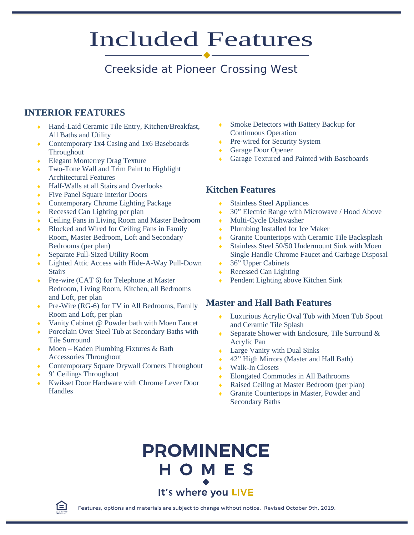# Included Features

## Creekside at Pioneer Crossing West

### **INTERIOR FEATURES**

- Hand-Laid Ceramic Tile Entry, Kitchen/Breakfast, All Baths and Utility
- Contemporary 1x4 Casing and 1x6 Baseboards **Throughout**
- ◆ Elegant Monterrey Drag Texture
- ♦ Two-Tone Wall and Trim Paint to Highlight Architectural Features
- ♦ Half-Walls at all Stairs and Overlooks
- Five Panel Square Interior Doors
- Contemporary Chrome Lighting Package
- Recessed Can Lighting per plan
- ♦ Ceiling Fans in Living Room and Master Bedroom
- Blocked and Wired for Ceiling Fans in Family Room, Master Bedroom, Loft and Secondary Bedrooms (per plan)
- Separate Full-Sized Utility Room
- Lighted Attic Access with Hide-A-Way Pull-Down **Stairs**
- Pre-wire (CAT 6) for Telephone at Master Bedroom, Living Room, Kitchen, all Bedrooms and Loft, per plan
- ◆ Pre-Wire (RG-6) for TV in All Bedrooms, Family Room and Loft, per plan
- Vanity Cabinet @ Powder bath with Moen Faucet
- Porcelain Over Steel Tub at Secondary Baths with Tile Surround
- Moen Kaden Plumbing Fixtures & Bath Accessories Throughout
- Contemporary Square Drywall Corners Throughout
- 9' Ceilings Throughout
- Kwikset Door Hardware with Chrome Lever Door **Handles**
- **Smoke Detectors with Battery Backup for** Continuous Operation
- Pre-wired for Security System
- Garage Door Opener
- Garage Textured and Painted with Baseboards

### **Kitchen Features**

- **Stainless Steel Appliances**
- ◆ 30" Electric Range with Microwave / Hood Above
- Multi-Cycle Dishwasher
- Plumbing Installed for Ice Maker
- ♦ Granite Countertops with Ceramic Tile Backsplash
- ◆ Stainless Steel 50/50 Undermount Sink with Moen Single Handle Chrome Faucet and Garbage Disposal
- 36" Upper Cabinets
- $\triangle$  Recessed Can Lighting
- Pendent Lighting above Kitchen Sink

### **Master and Hall Bath Features**

- Luxurious Acrylic Oval Tub with Moen Tub Spout and Ceramic Tile Splash
- Separate Shower with Enclosure, Tile Surround  $&$ Acrylic Pan
- Large Vanity with Dual Sinks
- ♦ 42" High Mirrors (Master and Hall Bath)
- Walk-In Closets
- Elongated Commodes in All Bathrooms
- Raised Ceiling at Master Bedroom (per plan)
- Granite Countertops in Master, Powder and Secondary Baths





Features, options and materials are subject to change without notice. Revised October 9th, 2019.